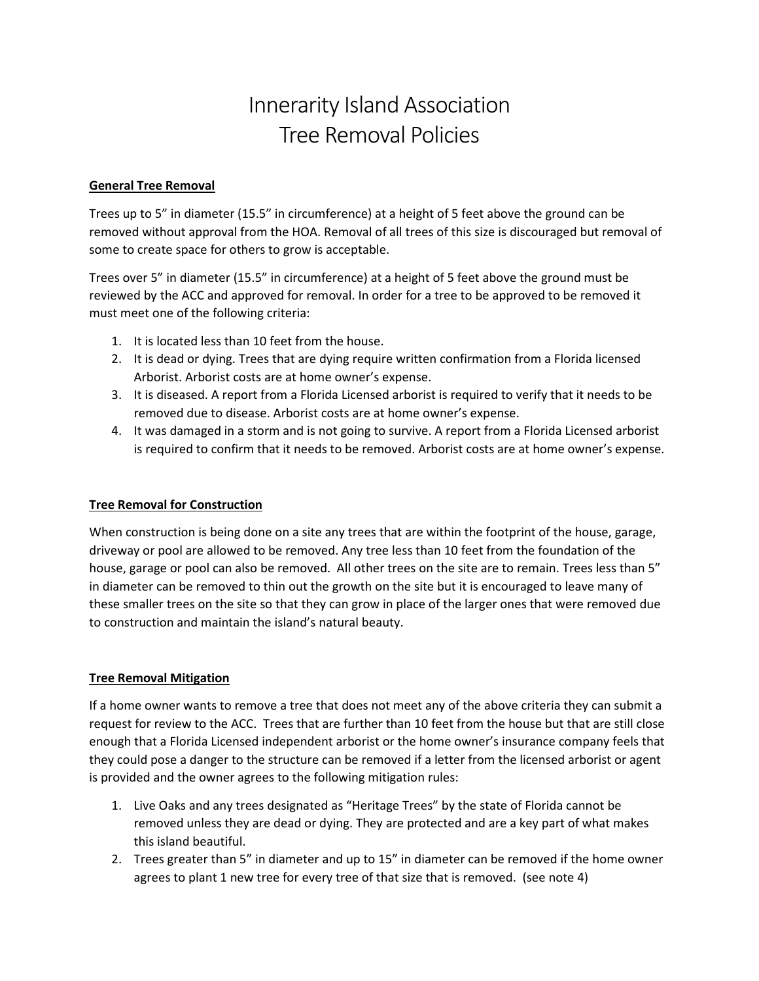## Innerarity Island Association Tree Removal Policies

## General Tree Removal

Trees up to 5" in diameter (15.5" in circumference) at a height of 5 feet above the ground can be removed without approval from the HOA. Removal of all trees of this size is discouraged but removal of some to create space for others to grow is acceptable.

Trees over 5" in diameter (15.5" in circumference) at a height of 5 feet above the ground must be reviewed by the ACC and approved for removal. In order for a tree to be approved to be removed it must meet one of the following criteria:

- 1. It is located less than 10 feet from the house.
- 2. It is dead or dying. Trees that are dying require written confirmation from a Florida licensed Arborist. Arborist costs are at home owner's expense.
- 3. It is diseased. A report from a Florida Licensed arborist is required to verify that it needs to be removed due to disease. Arborist costs are at home owner's expense.
- 4. It was damaged in a storm and is not going to survive. A report from a Florida Licensed arborist is required to confirm that it needs to be removed. Arborist costs are at home owner's expense.

## Tree Removal for Construction

When construction is being done on a site any trees that are within the footprint of the house, garage, driveway or pool are allowed to be removed. Any tree less than 10 feet from the foundation of the house, garage or pool can also be removed. All other trees on the site are to remain. Trees less than 5" in diameter can be removed to thin out the growth on the site but it is encouraged to leave many of these smaller trees on the site so that they can grow in place of the larger ones that were removed due to construction and maintain the island's natural beauty.

## Tree Removal Mitigation

If a home owner wants to remove a tree that does not meet any of the above criteria they can submit a request for review to the ACC. Trees that are further than 10 feet from the house but that are still close enough that a Florida Licensed independent arborist or the home owner's insurance company feels that they could pose a danger to the structure can be removed if a letter from the licensed arborist or agent is provided and the owner agrees to the following mitigation rules:

- 1. Live Oaks and any trees designated as "Heritage Trees" by the state of Florida cannot be removed unless they are dead or dying. They are protected and are a key part of what makes this island beautiful.
- 2. Trees greater than 5" in diameter and up to 15" in diameter can be removed if the home owner agrees to plant 1 new tree for every tree of that size that is removed. (see note 4)